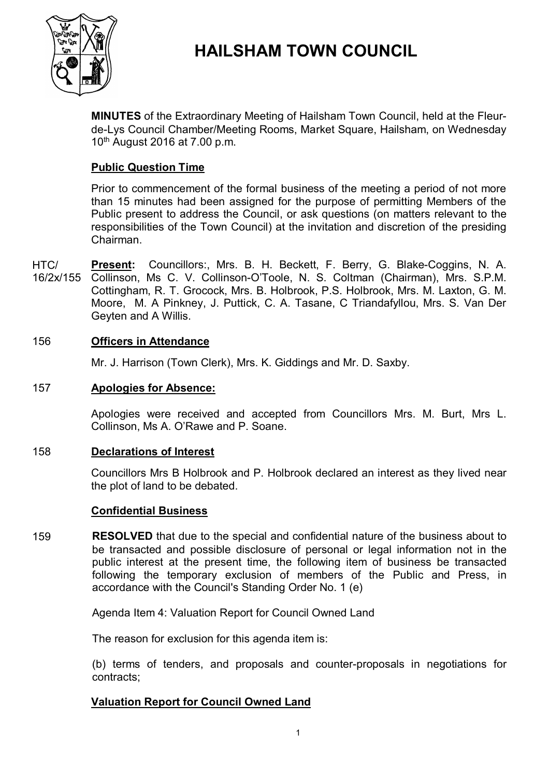

# **HAILSHAM TOWN COUNCIL**

**MINUTES** of the Extraordinary Meeting of Hailsham Town Council, held at the Fleurde-Lys Council Chamber/Meeting Rooms, Market Square, Hailsham, on Wednesday 10 th August 2016 at 7.00 p.m.

# **Public Question Time**

Prior to commencement of the formal business of the meeting a period of not more than 15 minutes had been assigned for the purpose of permitting Members of the Public present to address the Council, or ask questions (on matters relevant to the responsibilities of the Town Council) at the invitation and discretion of the presiding Chairman.

HTC/ 16/2x/155 Collinson, Ms C. V. Collinson-O'Toole, N. S. Coltman (Chairman), Mrs. S.P.M. **Present:** Councillors:, Mrs. B. H. Beckett, F. Berry, G. Blake-Coggins, N. A. Cottingham, R. T. Grocock, Mrs. B. Holbrook, P.S. Holbrook, Mrs. M. Laxton, G. M. Moore, M. A Pinkney, J. Puttick, C. A. Tasane, C Triandafyllou, Mrs. S. Van Der Geyten and A Willis.

# 156 **Officers in Attendance**

Mr. J. Harrison (Town Clerk), Mrs. K. Giddings and Mr. D. Saxby.

#### 157 **Apologies for Absence:**

Apologies were received and accepted from Councillors Mrs. M. Burt, Mrs L. Collinson, Ms A. O'Rawe and P. Soane.

# 158 **Declarations of Interest**

Councillors Mrs B Holbrook and P. Holbrook declared an interest as they lived near the plot of land to be debated.

# **Confidential Business**

159 **RESOLVED** that due to the special and confidential nature of the business about to be transacted and possible disclosure of personal or legal information not in the public interest at the present time, the following item of business be transacted following the temporary exclusion of members of the Public and Press, in accordance with the Council's Standing Order No. 1 (e)

Agenda Item 4: Valuation Report for Council Owned Land

The reason for exclusion for this agenda item is:

(b) terms of tenders, and proposals and counter-proposals in negotiations for contracts;

# **Valuation Report for Council Owned Land**